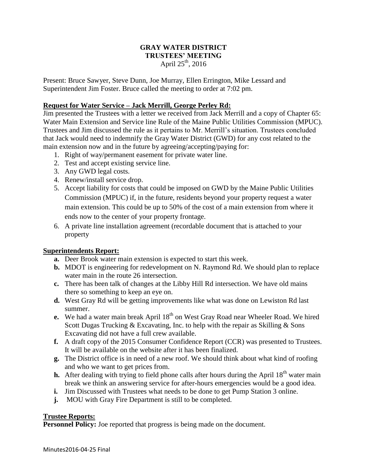## **GRAY WATER DISTRICT TRUSTEES' MEETING** April  $25^{th}$ , 2016

Present: Bruce Sawyer, Steve Dunn, Joe Murray, Ellen Errington, Mike Lessard and Superintendent Jim Foster. Bruce called the meeting to order at 7:02 pm.

# **Request for Water Service – Jack Merrill, George Perley Rd:**

Jim presented the Trustees with a letter we received from Jack Merrill and a copy of Chapter 65: Water Main Extension and Service line Rule of the Maine Public Utilities Commission (MPUC). Trustees and Jim discussed the rule as it pertains to Mr. Merrill's situation. Trustees concluded that Jack would need to indemnify the Gray Water District (GWD) for any cost related to the main extension now and in the future by agreeing/accepting/paying for:

- 1. Right of way/permanent easement for private water line.
- 2. Test and accept existing service line.
- 3. Any GWD legal costs.
- 4. Renew/install service drop.
- 5. Accept liability for costs that could be imposed on GWD by the Maine Public Utilities Commission (MPUC) if, in the future, residents beyond your property request a water main extension. This could be up to 50% of the cost of a main extension from where it ends now to the center of your property frontage.
- 6. A private line installation agreement (recordable document that is attached to your property

## **Superintendents Report:**

- **a.** Deer Brook water main extension is expected to start this week.
- **b.** MDOT is engineering for redevelopment on N. Raymond Rd. We should plan to replace water main in the route 26 intersection.
- **c.** There has been talk of changes at the Libby Hill Rd intersection. We have old mains there so something to keep an eye on.
- **d.** West Gray Rd will be getting improvements like what was done on Lewiston Rd last summer.
- **e.** We had a water main break April 18<sup>th</sup> on West Gray Road near Wheeler Road. We hired Scott Dugas Trucking & Excavating, Inc. to help with the repair as Skilling & Sons Excavating did not have a full crew available.
- **f.** A draft copy of the 2015 Consumer Confidence Report (CCR) was presented to Trustees. It will be available on the website after it has been finalized.
- **g.** The District office is in need of a new roof. We should think about what kind of roofing and who we want to get prices from.
- **h.** After dealing with trying to field phone calls after hours during the April  $18<sup>th</sup>$  water main break we think an answering service for after-hours emergencies would be a good idea.
- **i.** Jim Discussed with Trustees what needs to be done to get Pump Station 3 online.
- **j.** MOU with Gray Fire Department is still to be completed.

## **Trustee Reports:**

**Personnel Policy:** Joe reported that progress is being made on the document.